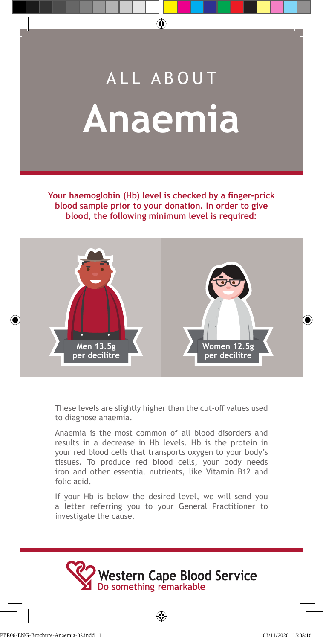# ALL ABOUT **Anaemia**

**Your haemoglobin (Hb) level is checked by a finger-prick blood sample prior to your donation. In order to give blood, the following minimum level is required:**



These levels are slightly higher than the cut-off values used to diagnose anaemia.

Anaemia is the most common of all blood disorders and results in a decrease in Hb levels. Hb is the protein in your red blood cells that transports oxygen to your body's tissues. To produce red blood cells, your body needs iron and other essential nutrients, like Vitamin B12 and folic acid.

If your Hb is below the desired level, we will send you a letter referring you to your General Practitioner to investigate the cause.